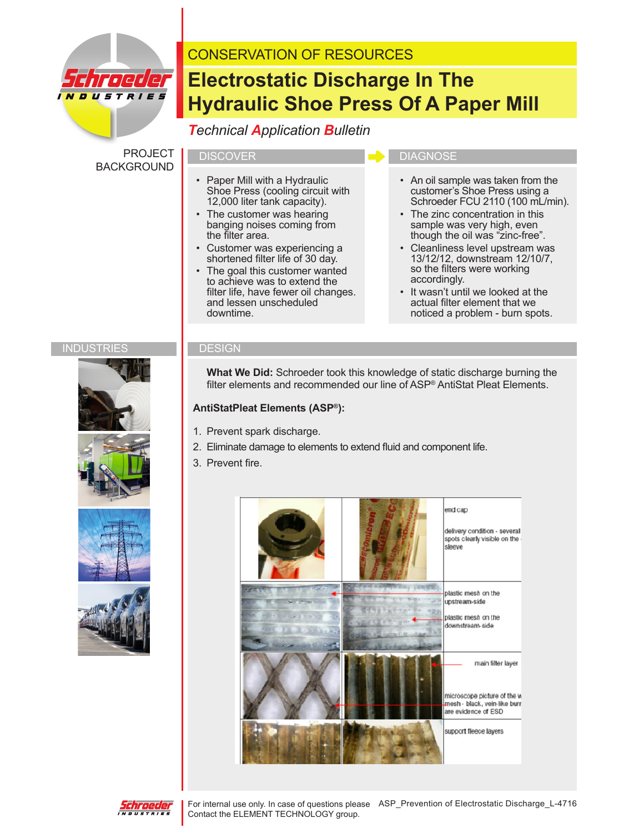

# CONSERVATION OF RESOURCES

# **Electrostatic Discharge In The Hydraulic Shoe Press Of A Paper Mill**

## *Technical Application Bulletin*

PROJECT BACKGROUND

- Paper Mill with a Hydraulic Shoe Press (cooling circuit with 12,000 liter tank capacity).
- The customer was hearing banging noises coming from the filter area.
- Customer was experiencing a shortened filter life of 30 day.
- The goal this customer wanted to achieve was to extend the filter life, have fewer oil changes. and lessen unscheduled downtime.

#### DISCOVER **DIAGNOSE**

- An oil sample was taken from the customer's Shoe Press using a Schroeder FCU 2110 (100 mL/min).
- The zinc concentration in this sample was very high, even though the oil was "zinc-free".
- Cleanliness level upstream was 13/12/12, downstream 12/10/7, so the filters were working accordingly.
- It wasn't until we looked at the actual filter element that we noticed a problem - burn spots.

#### INDUSTRIES **DESIGN**







 **What We Did:** Schroeder took this knowledge of static discharge burning the filter elements and recommended our line of ASP® AntiStat Pleat Elements.

#### **AntiStatPleat Elements (ASP®):**

- 1. Prevent spark discharge.
- 2. Eliminate damage to elements to extend fluid and component life.
- 3. Prevent fire.